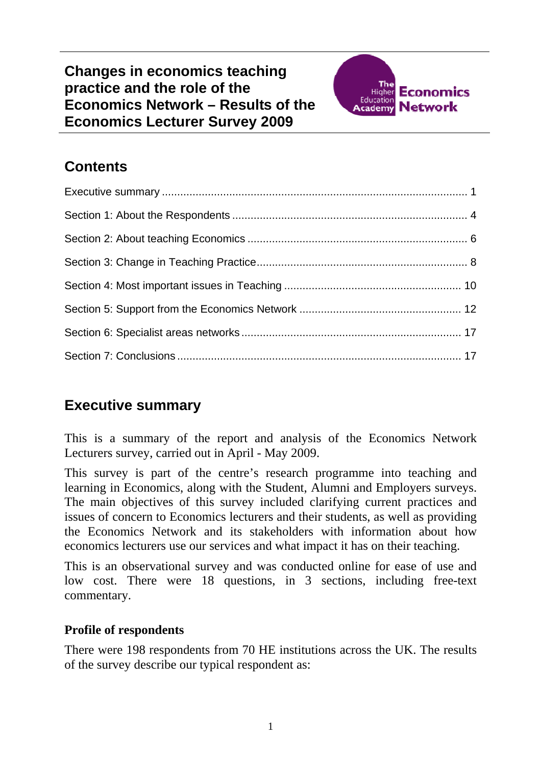

## <span id="page-0-0"></span>**Contents**

### **Executive summary**

This is a summary of the report and analysis of the Economics Network Lecturers survey, carried out in April - May 2009.

This survey is part of the centre's research programme into teaching and learning in Economics, along with the Student, Alumni and Employers surveys. The main objectives of this survey included clarifying current practices and issues of concern to Economics lecturers and their students, as well as providing the Economics Network and its stakeholders with information about how economics lecturers use our services and what impact it has on their teaching.

This is an observational survey and was conducted online for ease of use and low cost. There were 18 questions, in 3 sections, including free-text commentary.

#### **Profile of respondents**

There were 198 respondents from 70 HE institutions across the UK. The results of the survey describe our typical respondent as: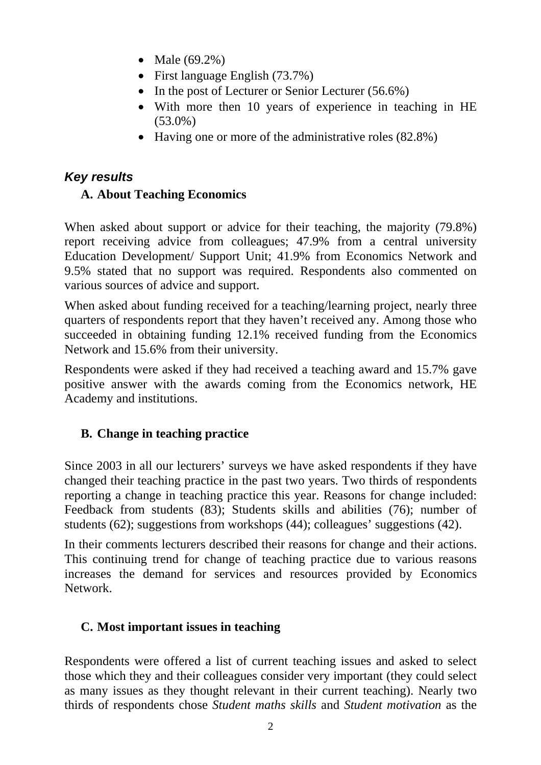- Male (69.2%)
- First language English (73.7%)
- In the post of Lecturer or Senior Lecturer (56.6%)
- With more then 10 years of experience in teaching in HE (53.0%)
- Having one or more of the administrative roles (82.8%)

### *Key results*

#### **A. About Teaching Economics**

When asked about support or advice for their teaching, the majority (79.8%) report receiving advice from colleagues; 47.9% from a central university Education Development/ Support Unit; 41.9% from Economics Network and 9.5% stated that no support was required. Respondents also commented on various sources of advice and support.

When asked about funding received for a teaching/learning project, nearly three quarters of respondents report that they haven't received any. Among those who succeeded in obtaining funding 12.1% received funding from the Economics Network and 15.6% from their university.

Respondents were asked if they had received a teaching award and 15.7% gave positive answer with the awards coming from the Economics network, HE Academy and institutions.

### **B. Change in teaching practice**

Since 2003 in all our lecturers' surveys we have asked respondents if they have changed their teaching practice in the past two years. Two thirds of respondents reporting a change in teaching practice this year. Reasons for change included: Feedback from students (83); Students skills and abilities (76); number of students (62); suggestions from workshops (44); colleagues' suggestions (42).

In their comments lecturers described their reasons for change and their actions. This continuing trend for change of teaching practice due to various reasons increases the demand for services and resources provided by Economics Network.

#### **C. Most important issues in teaching**

Respondents were offered a list of current teaching issues and asked to select those which they and their colleagues consider very important (they could select as many issues as they thought relevant in their current teaching). Nearly two thirds of respondents chose *Student maths skills* and *Student motivation* as the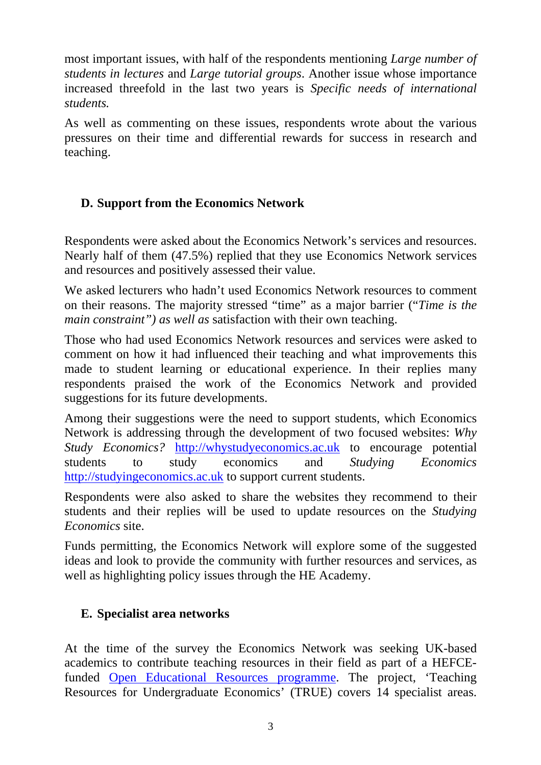most important issues, with half of the respondents mentioning *Large number of students in lectures* and *Large tutorial groups*. Another issue whose importance increased threefold in the last two years is *Specific needs of international students.*

As well as commenting on these issues, respondents wrote about the various pressures on their time and differential rewards for success in research and teaching.

#### **D. Support from the Economics Network**

Respondents were asked about the Economics Network's services and resources. Nearly half of them (47.5%) replied that they use Economics Network services and resources and positively assessed their value.

We asked lecturers who hadn't used Economics Network resources to comment on their reasons. The majority stressed "time" as a major barrier ("*Time is the main constraint") as well as* satisfaction with their own teaching.

Those who had used Economics Network resources and services were asked to comment on how it had influenced their teaching and what improvements this made to student learning or educational experience. In their replies many respondents praised the work of the Economics Network and provided suggestions for its future developments.

Among their suggestions were the need to support students, which Economics Network is addressing through the development of two focused websites: *Why Study Economics?* [http://whystudyeconomics.ac.uk](http://whystudyeconomics.ac.uk/) to encourage potential students to study economics and *Studying Economics* [http://studyingeconomics.ac.uk](http://studyingeconomics.ac.uk/) to support current students.

Respondents were also asked to share the websites they recommend to their students and their replies will be used to update resources on the *Studying Economics* site.

Funds permitting, the Economics Network will explore some of the suggested ideas and look to provide the community with further resources and services, as well as highlighting policy issues through the HE Academy.

#### **E. Specialist area networks**

At the time of the survey the Economics Network was seeking UK-based academics to contribute teaching resources in their field as part of a HEFCEfunded [Open Educational Resources programme.](http://www.heacademy.ac.uk/ourwork/learning/opencontent) The project, 'Teaching Resources for Undergraduate Economics' (TRUE) covers 14 specialist areas.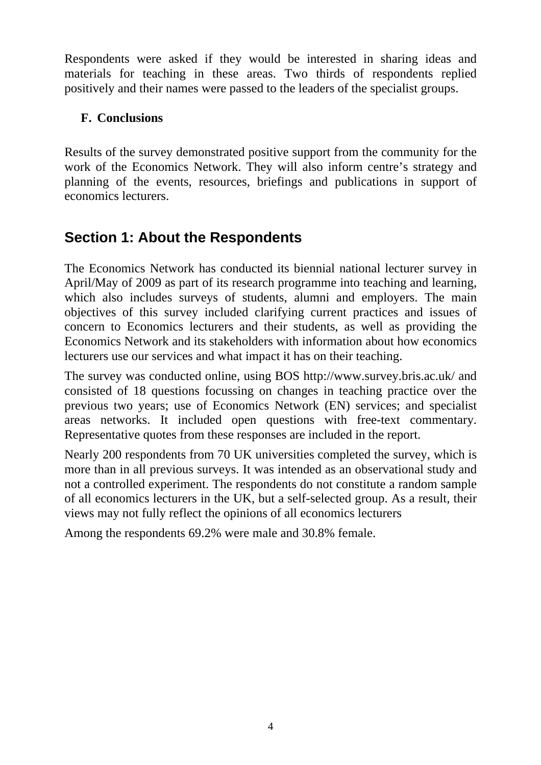<span id="page-3-0"></span>Respondents were asked if they would be interested in sharing ideas and materials for teaching in these areas. Two thirds of respondents replied positively and their names were passed to the leaders of the specialist groups.

### **F. Conclusions**

Results of the survey demonstrated positive support from the community for the work of the Economics Network. They will also inform centre's strategy and planning of the events, resources, briefings and publications in support of economics lecturers.

### **Section 1: About the Respondents**

The Economics Network has conducted its biennial national lecturer survey in April/May of 2009 as part of its research programme into teaching and learning, which also includes surveys of students, alumni and employers. The main objectives of this survey included clarifying current practices and issues of concern to Economics lecturers and their students, as well as providing the Economics Network and its stakeholders with information about how economics lecturers use our services and what impact it has on their teaching.

The survey was conducted online, using BOS <http://www.survey.bris.ac.uk/> and consisted of 18 questions focussing on changes in teaching practice over the previous two years; use of Economics Network (EN) services; and specialist areas networks. It included open questions with free-text commentary. Representative quotes from these responses are included in the report.

Nearly 200 respondents from 70 UK universities completed the survey, which is more than in all previous surveys. It was intended as an observational study and not a controlled experiment. The respondents do not constitute a random sample of all economics lecturers in the UK, but a self-selected group. As a result, their views may not fully reflect the opinions of all economics lecturers

Among the respondents 69.2% were male and 30.8% female.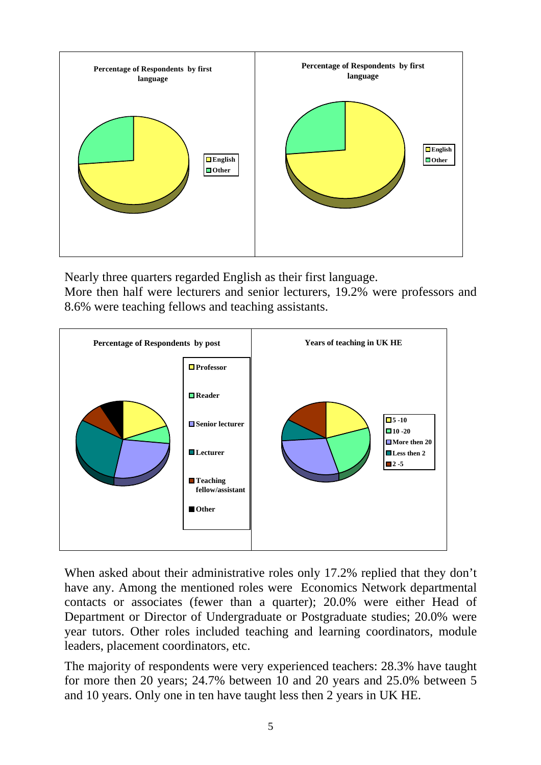

Nearly three quarters regarded English as their first language.

More then half were lecturers and senior lecturers, 19.2% were professors and 8.6% were teaching fellows and teaching assistants.



When asked about their administrative roles only 17.2% replied that they don't have any. Among the mentioned roles were Economics Network departmental contacts or associates (fewer than a quarter); 20.0% were either Head of Department or Director of Undergraduate or Postgraduate studies; 20.0% were year tutors. Other roles included teaching and learning coordinators, module leaders, placement coordinators, etc.

The majority of respondents were very experienced teachers: 28.3% have taught for more then 20 years; 24.7% between 10 and 20 years and 25.0% between 5 and 10 years. Only one in ten have taught less then 2 years in UK HE.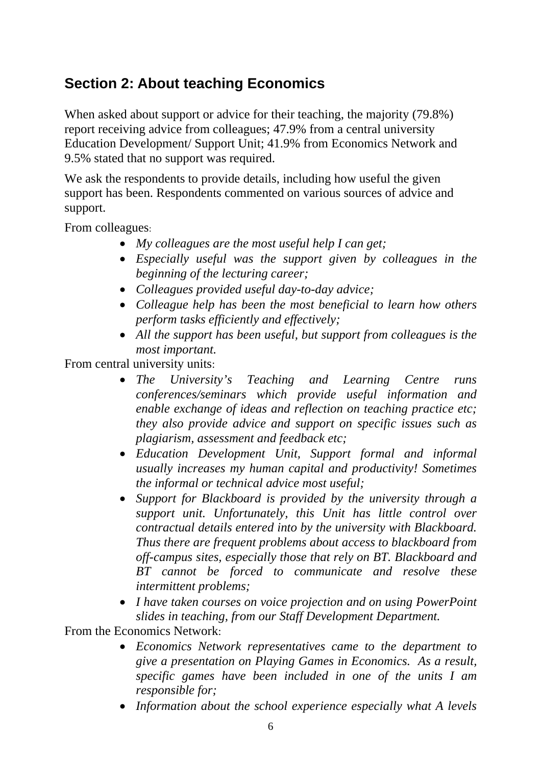# <span id="page-5-0"></span>**Section 2: About teaching Economics**

When asked about support or advice for their teaching, the majority (79.8%) report receiving advice from colleagues; 47.9% from a central university Education Development/ Support Unit; 41.9% from Economics Network and 9.5% stated that no support was required.

We ask the respondents to provide details, including how useful the given support has been. Respondents commented on various sources of advice and support.

From colleagues:

- *My colleagues are the most useful help I can get;*
- *Especially useful was the support given by colleagues in the beginning of the lecturing career;*
- *Colleagues provided useful day-to-day advice;*
- *Colleague help has been the most beneficial to learn how others perform tasks efficiently and effectively;*
- *All the support has been useful, but support from colleagues is the most important.*

From central university units:

- *The University's Teaching and Learning Centre runs conferences/seminars which provide useful information and enable exchange of ideas and reflection on teaching practice etc; they also provide advice and support on specific issues such as plagiarism, assessment and feedback etc;*
- *Education Development Unit, Support formal and informal usually increases my human capital and productivity! Sometimes the informal or technical advice most useful;*
- *Support for Blackboard is provided by the university through a support unit. Unfortunately, this Unit has little control over contractual details entered into by the university with Blackboard. Thus there are frequent problems about access to blackboard from off-campus sites, especially those that rely on BT. Blackboard and BT cannot be forced to communicate and resolve these intermittent problems;*
- *I have taken courses on voice projection and on using PowerPoint slides in teaching, from our Staff Development Department.*

From the Economics Network:

- *Economics Network representatives came to the department to give a presentation on Playing Games in Economics. As a result, specific games have been included in one of the units I am responsible for;*
- *Information about the school experience especially what A levels*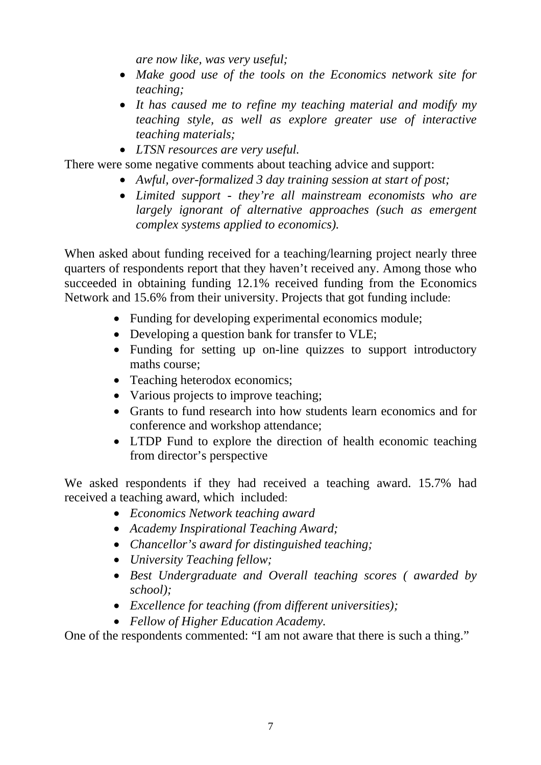*are now like, was very useful;* 

- *Make good use of the tools on the Economics network site for teaching;*
- *It has caused me to refine my teaching material and modify my teaching style, as well as explore greater use of interactive teaching materials;*
- *LTSN resources are very useful.*

There were some negative comments about teaching advice and support:

- *Awful, over-formalized 3 day training session at start of post;*
- *Limited support they're all mainstream economists who are largely ignorant of alternative approaches (such as emergent complex systems applied to economics).*

When asked about funding received for a teaching/learning project nearly three quarters of respondents report that they haven't received any. Among those who succeeded in obtaining funding 12.1% received funding from the Economics Network and 15.6% from their university. Projects that got funding include:

- Funding for developing experimental economics module;
- Developing a question bank for transfer to VLE;
- Funding for setting up on-line quizzes to support introductory maths course;
- Teaching heterodox economics;
- Various projects to improve teaching;
- Grants to fund research into how students learn economics and for conference and workshop attendance;
- LTDP Fund to explore the direction of health economic teaching from director's perspective

We asked respondents if they had received a teaching award. 15.7% had received a teaching award, which included:

- *Economics Network teaching award*
- *Academy Inspirational Teaching Award;*
- *Chancellor's award for distinguished teaching;*
- *University Teaching fellow;*
- *Best Undergraduate and Overall teaching scores ( awarded by school);*
- *Excellence for teaching (from different universities);*
- *Fellow of Higher Education Academy.*

One of the respondents commented: "I am not aware that there is such a thing."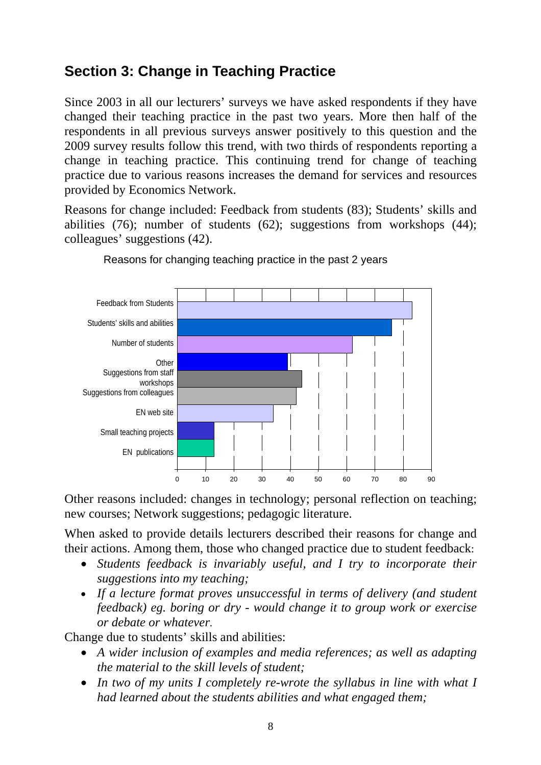## <span id="page-7-0"></span>**Section 3: Change in Teaching Practice**

Since 2003 in all our lecturers' surveys we have asked respondents if they have changed their teaching practice in the past two years. More then half of the respondents in all previous surveys answer positively to this question and the 2009 survey results follow this trend, with two thirds of respondents reporting a change in teaching practice. This continuing trend for change of teaching practice due to various reasons increases the demand for services and resources provided by Economics Network.

Reasons for change included: Feedback from students (83); Students' skills and abilities (76); number of students (62); suggestions from workshops (44); colleagues' suggestions (42).



Reasons for changing teaching practice in the past 2 years

Other reasons included: changes in technology; personal reflection on teaching; new courses; Network suggestions; pedagogic literature.

When asked to provide details lecturers described their reasons for change and their actions. Among them, those who changed practice due to student feedback:

- *Students feedback is invariably useful, and I try to incorporate their suggestions into my teaching;*
- *If a lecture format proves unsuccessful in terms of delivery (and student feedback) eg. boring or dry - would change it to group work or exercise or debate or whatever.*

Change due to students' skills and abilities:

- *A wider inclusion of examples and media references; as well as adapting the material to the skill levels of student;*
- *In two of my units I completely re-wrote the syllabus in line with what I had learned about the students abilities and what engaged them;*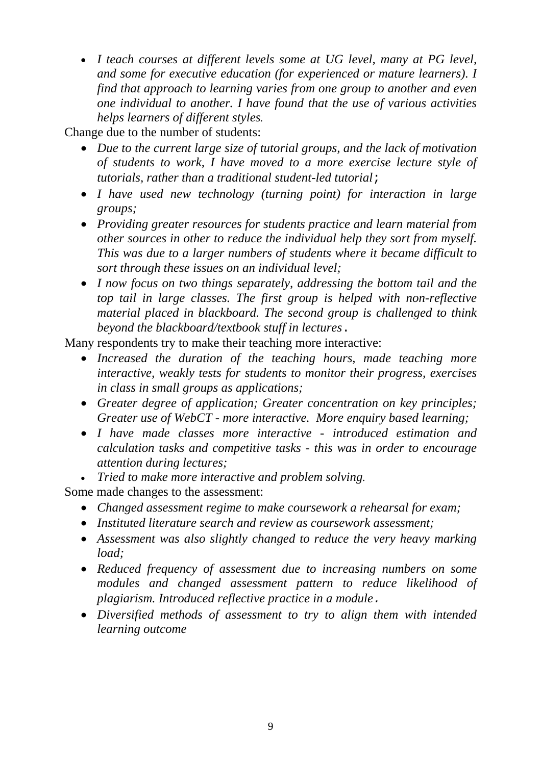• *I teach courses at different levels some at UG level, many at PG level, and some for executive education (for experienced or mature learners). I find that approach to learning varies from one group to another and even one individual to another. I have found that the use of various activities helps learners of different styles.* 

Change due to the number of students:

- *Due to the current large size of tutorial groups, and the lack of motivation of students to work, I have moved to a more exercise lecture style of tutorials, rather than a traditional student-led tutorial*;
- *I have used new technology (turning point) for interaction in large groups;*
- *Providing greater resources for students practice and learn material from other sources in other to reduce the individual help they sort from myself. This was due to a larger numbers of students where it became difficult to sort through these issues on an individual level;*
- *I now focus on two things separately, addressing the bottom tail and the top tail in large classes. The first group is helped with non-reflective material placed in blackboard. The second group is challenged to think beyond the blackboard/textbook stuff in lectures*.

Many respondents try to make their teaching more interactive:

- *Increased the duration of the teaching hours, made teaching more interactive, weakly tests for students to monitor their progress, exercises in class in small groups as applications;*
- *Greater degree of application; Greater concentration on key principles; Greater use of WebCT - more interactive. More enquiry based learning;*
- *I have made classes more interactive introduced estimation and calculation tasks and competitive tasks - this was in order to encourage attention during lectures;*
- *Tried to make more interactive and problem solving.*

Some made changes to the assessment:

- *Changed assessment regime to make coursework a rehearsal for exam;*
- *Instituted literature search and review as coursework assessment;*
- *Assessment was also slightly changed to reduce the very heavy marking load;*
- *Reduced frequency of assessment due to increasing numbers on some modules and changed assessment pattern to reduce likelihood of plagiarism. Introduced reflective practice in a module.*
- *Diversified methods of assessment to try to align them with intended learning outcome*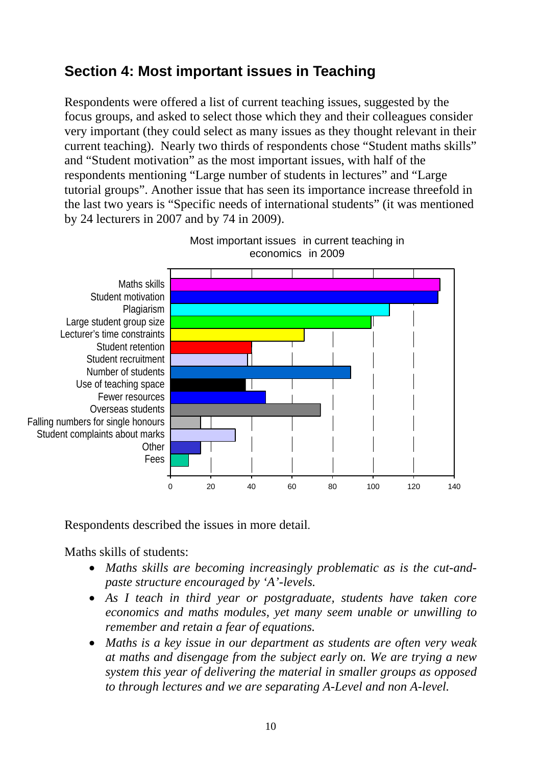## <span id="page-9-0"></span>**Section 4: Most important issues in Teaching**

Respondents were offered a list of current teaching issues, suggested by the focus groups, and asked to select those which they and their colleagues consider very important (they could select as many issues as they thought relevant in their current teaching). Nearly two thirds of respondents chose "Student maths skills" and "Student motivation" as the most important issues, with half of the respondents mentioning "Large number of students in lectures" and "Large tutorial groups". Another issue that has seen its importance increase threefold in the last two years is "Specific needs of international students" (it was mentioned by 24 lecturers in 2007 and by 74 in 2009).



Most important issues in current teaching in economics in 2009

Respondents described the issues in more detail.

Maths skills of students:

- *Maths skills are becoming increasingly problematic as is the cut-andpaste structure encouraged by 'A'-levels.*
- *As I teach in third year or postgraduate, students have taken core economics and maths modules, yet many seem unable or unwilling to remember and retain a fear of equations.*
- *Maths is a key issue in our department as students are often very weak at maths and disengage from the subject early on. We are trying a new system this year of delivering the material in smaller groups as opposed to through lectures and we are separating A-Level and non A-level.*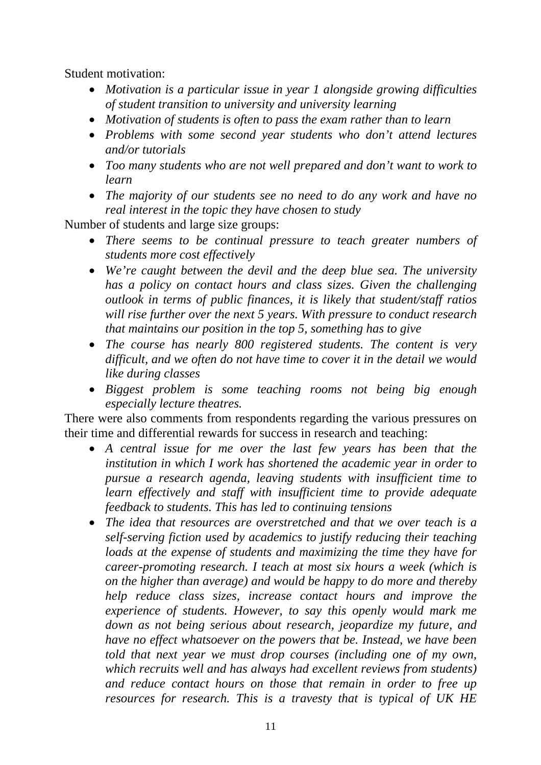Student motivation:

- *Motivation is a particular issue in year 1 alongside growing difficulties of student transition to university and university learning*
- *Motivation of students is often to pass the exam rather than to learn*
- *Problems with some second year students who don't attend lectures and/or tutorials*
- *Too many students who are not well prepared and don't want to work to learn*
- *The majority of our students see no need to do any work and have no real interest in the topic they have chosen to study*

Number of students and large size groups:

- *There seems to be continual pressure to teach greater numbers of students more cost effectively*
- *We're caught between the devil and the deep blue sea. The university has a policy on contact hours and class sizes. Given the challenging outlook in terms of public finances, it is likely that student/staff ratios will rise further over the next 5 years. With pressure to conduct research that maintains our position in the top 5, something has to give*
- *The course has nearly 800 registered students. The content is very difficult, and we often do not have time to cover it in the detail we would like during classes*
- *Biggest problem is some teaching rooms not being big enough especially lecture theatres.*

There were also comments from respondents regarding the various pressures on their time and differential rewards for success in research and teaching:

- *A central issue for me over the last few years has been that the institution in which I work has shortened the academic year in order to pursue a research agenda, leaving students with insufficient time to learn effectively and staff with insufficient time to provide adequate feedback to students. This has led to continuing tensions*
- *The idea that resources are overstretched and that we over teach is a self-serving fiction used by academics to justify reducing their teaching loads at the expense of students and maximizing the time they have for career-promoting research. I teach at most six hours a week (which is on the higher than average) and would be happy to do more and thereby help reduce class sizes, increase contact hours and improve the experience of students. However, to say this openly would mark me down as not being serious about research, jeopardize my future, and have no effect whatsoever on the powers that be. Instead, we have been told that next year we must drop courses (including one of my own, which recruits well and has always had excellent reviews from students) and reduce contact hours on those that remain in order to free up resources for research. This is a travesty that is typical of UK HE*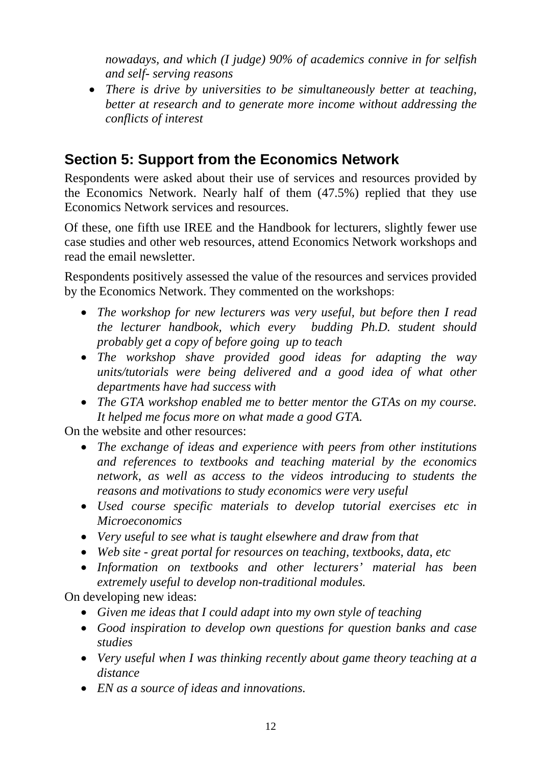<span id="page-11-0"></span>*nowadays, and which (I judge) 90% of academics connive in for selfish and self- serving reasons* 

• *There is drive by universities to be simultaneously better at teaching, better at research and to generate more income without addressing the conflicts of interest* 

# **Section 5: Support from the Economics Network**

Respondents were asked about their use of services and resources provided by the Economics Network. Nearly half of them (47.5%) replied that they use Economics Network services and resources.

Of these, one fifth use IREE and the Handbook for lecturers, slightly fewer use case studies and other web resources, attend Economics Network workshops and read the email newsletter.

Respondents positively assessed the value of the resources and services provided by the Economics Network. They commented on the workshops:

- *The workshop for new lecturers was very useful, but before then I read the lecturer handbook, which every budding Ph.D. student should probably get a copy of before going up to teach*
- *The workshop shave provided good ideas for adapting the way units/tutorials were being delivered and a good idea of what other departments have had success with*
- *The GTA workshop enabled me to better mentor the GTAs on my course. It helped me focus more on what made a good GTA.*

On the website and other resources:

- *The exchange of ideas and experience with peers from other institutions and references to textbooks and teaching material by the economics network, as well as access to the videos introducing to students the reasons and motivations to study economics were very useful*
- *Used course specific materials to develop tutorial exercises etc in Microeconomics*
- *Very useful to see what is taught elsewhere and draw from that*
- *Web site great portal for resources on teaching, textbooks, data, etc*
- *Information on textbooks and other lecturers' material has been extremely useful to develop non-traditional modules.*

On developing new ideas:

- *Given me ideas that I could adapt into my own style of teaching*
- *Good inspiration to develop own questions for question banks and case studies*
- *Very useful when I was thinking recently about game theory teaching at a distance*
- *EN as a source of ideas and innovations.*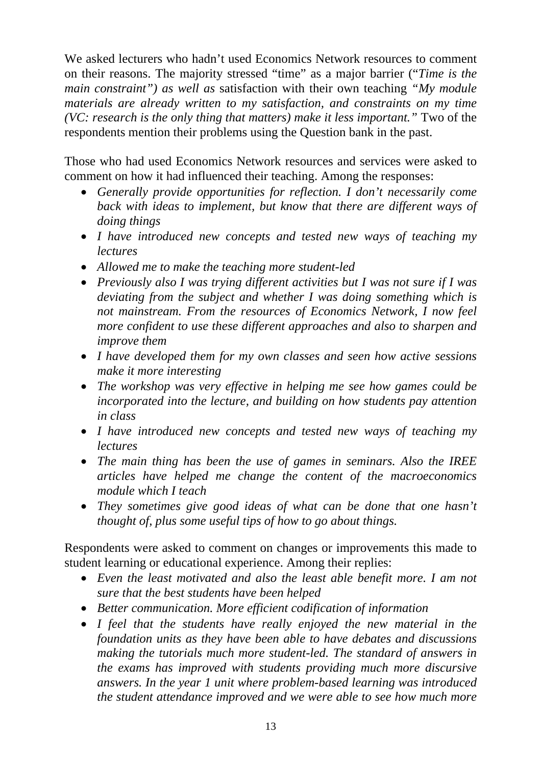We asked lecturers who hadn't used Economics Network resources to comment on their reasons. The majority stressed "time" as a major barrier ("*Time is the main constraint") as well as* satisfaction with their own teaching *"My module materials are already written to my satisfaction, and constraints on my time (VC: research is the only thing that matters) make it less important."* Two of the respondents mention their problems using the Question bank in the past.

Those who had used Economics Network resources and services were asked to comment on how it had influenced their teaching. Among the responses:

- *Generally provide opportunities for reflection. I don't necessarily come back with ideas to implement, but know that there are different ways of doing things*
- *I have introduced new concepts and tested new ways of teaching my lectures*
- *Allowed me to make the teaching more student-led*
- *Previously also I was trying different activities but I was not sure if I was deviating from the subject and whether I was doing something which is not mainstream. From the resources of Economics Network, I now feel more confident to use these different approaches and also to sharpen and improve them*
- *I have developed them for my own classes and seen how active sessions make it more interesting*
- *The workshop was very effective in helping me see how games could be incorporated into the lecture, and building on how students pay attention in class*
- *I have introduced new concepts and tested new ways of teaching my lectures*
- *The main thing has been the use of games in seminars. Also the IREE articles have helped me change the content of the macroeconomics module which I teach*
- *They sometimes give good ideas of what can be done that one hasn't thought of, plus some useful tips of how to go about things.*

Respondents were asked to comment on changes or improvements this made to student learning or educational experience. Among their replies:

- *Even the least motivated and also the least able benefit more. I am not sure that the best students have been helped*
- *Better communication. More efficient codification of information*
- *I feel that the students have really enjoyed the new material in the foundation units as they have been able to have debates and discussions making the tutorials much more student-led. The standard of answers in the exams has improved with students providing much more discursive answers. In the year 1 unit where problem-based learning was introduced the student attendance improved and we were able to see how much more*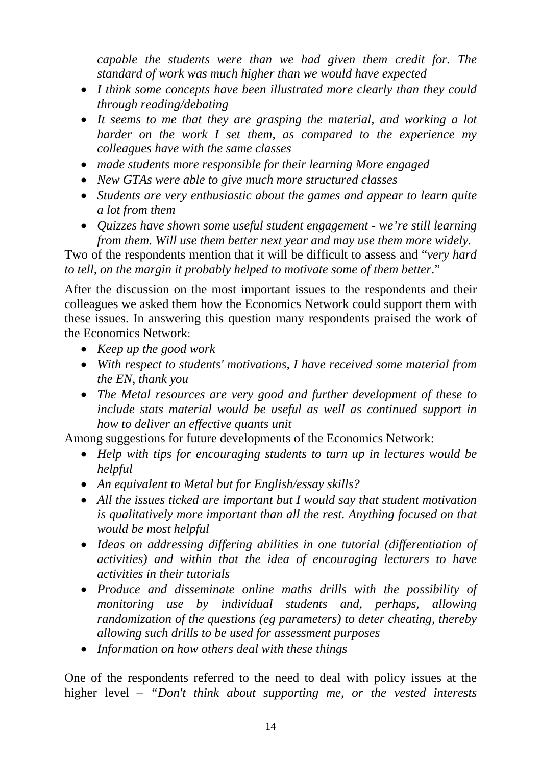*capable the students were than we had given them credit for. The standard of work was much higher than we would have expected* 

- *I think some concepts have been illustrated more clearly than they could through reading/debating*
- *It seems to me that they are grasping the material, and working a lot harder on the work I set them, as compared to the experience my colleagues have with the same classes*
- *made students more responsible for their learning More engaged*
- *New GTAs were able to give much more structured classes*
- *Students are very enthusiastic about the games and appear to learn quite a lot from them*
- *Quizzes have shown some useful student engagement we're still learning from them. Will use them better next year and may use them more widely.*

Two of the respondents mention that it will be difficult to assess and "*very hard to tell, on the margin it probably helped to motivate some of them better*."

After the discussion on the most important issues to the respondents and their colleagues we asked them how the Economics Network could support them with these issues. In answering this question many respondents praised the work of the Economics Network:

- *Keep up the good work*
- *With respect to students' motivations, I have received some material from the EN, thank you*
- *The Metal resources are very good and further development of these to include stats material would be useful as well as continued support in how to deliver an effective quants unit*

Among suggestions for future developments of the Economics Network:

- *Help with tips for encouraging students to turn up in lectures would be helpful*
- *An equivalent to Metal but for English/essay skills?*
- *All the issues ticked are important but I would say that student motivation is qualitatively more important than all the rest. Anything focused on that would be most helpful*
- *Ideas on addressing differing abilities in one tutorial (differentiation of activities) and within that the idea of encouraging lecturers to have activities in their tutorials*
- *Produce and disseminate online maths drills with the possibility of monitoring use by individual students and, perhaps, allowing randomization of the questions (eg parameters) to deter cheating, thereby allowing such drills to be used for assessment purposes*
- *Information on how others deal with these things*

One of the respondents referred to the need to deal with policy issues at the higher level *– "Don't think about supporting me, or the vested interests*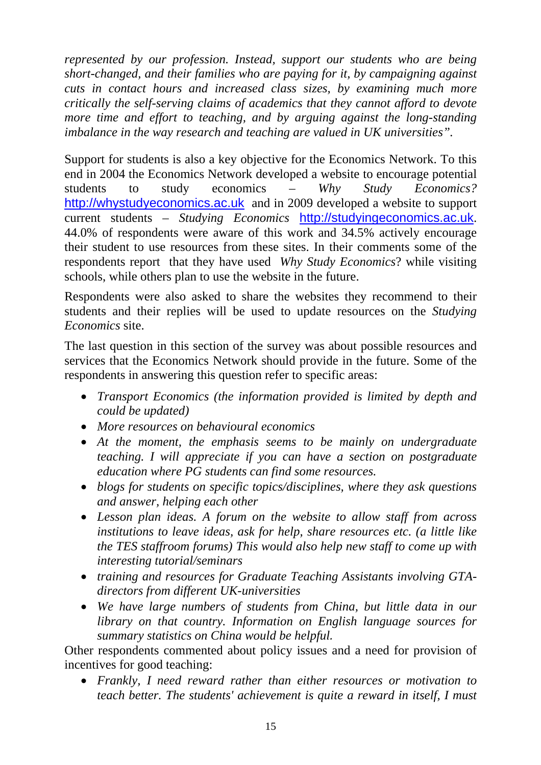*represented by our profession. Instead, support our students who are being short-changed, and their families who are paying for it, by campaigning against cuts in contact hours and increased class sizes, by examining much more critically the self-serving claims of academics that they cannot afford to devote more time and effort to teaching, and by arguing against the long-standing imbalance in the way research and teaching are valued in UK universities".* 

Support for students is also a key objective for the Economics Network. To this end in 2004 the Economics Network developed a website to encourage potential students to study economics – *Why Study Economics?* [http://whystudyeconomics.ac.uk](http://whystudyeconomics.ac.uk/) and in 2009 developed a website to support current students – *Studying Economics* [http://studyingeconomics.ac.uk](http://studyingeconomics.ac.uk/). 44.0% of respondents were aware of this work and 34.5% actively encourage their student to use resources from these sites. In their comments some of the respondents report that they have used *Why Study Economics*? while visiting schools, while others plan to use the website in the future.

Respondents were also asked to share the websites they recommend to their students and their replies will be used to update resources on the *Studying Economics* site.

The last question in this section of the survey was about possible resources and services that the Economics Network should provide in the future. Some of the respondents in answering this question refer to specific areas:

- *Transport Economics (the information provided is limited by depth and could be updated)*
- *More resources on behavioural economics*
- *At the moment, the emphasis seems to be mainly on undergraduate teaching. I will appreciate if you can have a section on postgraduate education where PG students can find some resources.*
- *blogs for students on specific topics/disciplines, where they ask questions and answer, helping each other*
- *Lesson plan ideas. A forum on the website to allow staff from across institutions to leave ideas, ask for help, share resources etc. (a little like the TES staffroom forums) This would also help new staff to come up with interesting tutorial/seminars*
- *training and resources for Graduate Teaching Assistants involving GTAdirectors from different UK-universities*
- *We have large numbers of students from China, but little data in our library on that country. Information on English language sources for summary statistics on China would be helpful.*

Other respondents commented about policy issues and a need for provision of incentives for good teaching:

• *Frankly, I need reward rather than either resources or motivation to teach better. The students' achievement is quite a reward in itself, I must*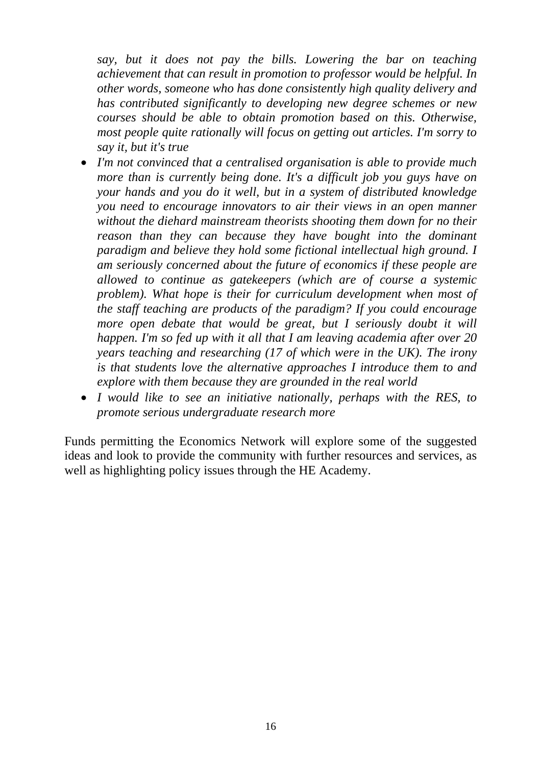*say, but it does not pay the bills. Lowering the bar on teaching achievement that can result in promotion to professor would be helpful. In other words, someone who has done consistently high quality delivery and has contributed significantly to developing new degree schemes or new courses should be able to obtain promotion based on this. Otherwise, most people quite rationally will focus on getting out articles. I'm sorry to say it, but it's true* 

- *I'm not convinced that a centralised organisation is able to provide much more than is currently being done. It's a difficult job you guys have on your hands and you do it well, but in a system of distributed knowledge you need to encourage innovators to air their views in an open manner without the diehard mainstream theorists shooting them down for no their reason than they can because they have bought into the dominant paradigm and believe they hold some fictional intellectual high ground. I am seriously concerned about the future of economics if these people are allowed to continue as gatekeepers (which are of course a systemic problem). What hope is their for curriculum development when most of the staff teaching are products of the paradigm? If you could encourage more open debate that would be great, but I seriously doubt it will happen. I'm so fed up with it all that I am leaving academia after over 20 years teaching and researching (17 of which were in the UK). The irony is that students love the alternative approaches I introduce them to and explore with them because they are grounded in the real world*
- *I would like to see an initiative nationally, perhaps with the RES, to promote serious undergraduate research more*

Funds permitting the Economics Network will explore some of the suggested ideas and look to provide the community with further resources and services, as well as highlighting policy issues through the HE Academy.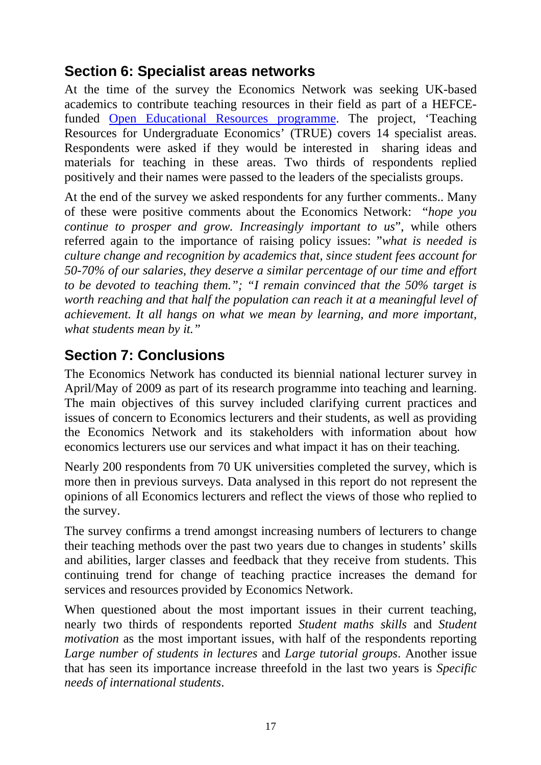### <span id="page-16-0"></span>**Section 6: Specialist areas networks**

At the time of the survey the Economics Network was seeking UK-based academics to contribute teaching resources in their field as part of a HEFCEfunded [Open Educational Resources programme.](http://www.heacademy.ac.uk/ourwork/learning/opencontent) The project, 'Teaching Resources for Undergraduate Economics' (TRUE) covers 14 specialist areas. Respondents were asked if they would be interested in sharing ideas and materials for teaching in these areas. Two thirds of respondents replied positively and their names were passed to the leaders of the specialists groups.

At the end of the survey we asked respondents for any further comments.. Many of these were positive comments about the Economics Network: "*hope you continue to prosper and grow. Increasingly important to us*", while others referred again to the importance of raising policy issues: "*what is needed is culture change and recognition by academics that, since student fees account for 50-70% of our salaries, they deserve a similar percentage of our time and effort to be devoted to teaching them."; "I remain convinced that the 50% target is worth reaching and that half the population can reach it at a meaningful level of achievement. It all hangs on what we mean by learning, and more important, what students mean by it."* 

### **Section 7: Conclusions**

The Economics Network has conducted its biennial national lecturer survey in April/May of 2009 as part of its research programme into teaching and learning. The main objectives of this survey included clarifying current practices and issues of concern to Economics lecturers and their students, as well as providing the Economics Network and its stakeholders with information about how economics lecturers use our services and what impact it has on their teaching.

Nearly 200 respondents from 70 UK universities completed the survey, which is more then in previous surveys. Data analysed in this report do not represent the opinions of all Economics lecturers and reflect the views of those who replied to the survey.

The survey confirms a trend amongst increasing numbers of lecturers to change their teaching methods over the past two years due to changes in students' skills and abilities, larger classes and feedback that they receive from students. This continuing trend for change of teaching practice increases the demand for services and resources provided by Economics Network.

When questioned about the most important issues in their current teaching, nearly two thirds of respondents reported *Student maths skills* and *Student motivation* as the most important issues, with half of the respondents reporting *Large number of students in lectures* and *Large tutorial groups*. Another issue that has seen its importance increase threefold in the last two years is *Specific needs of international students*.